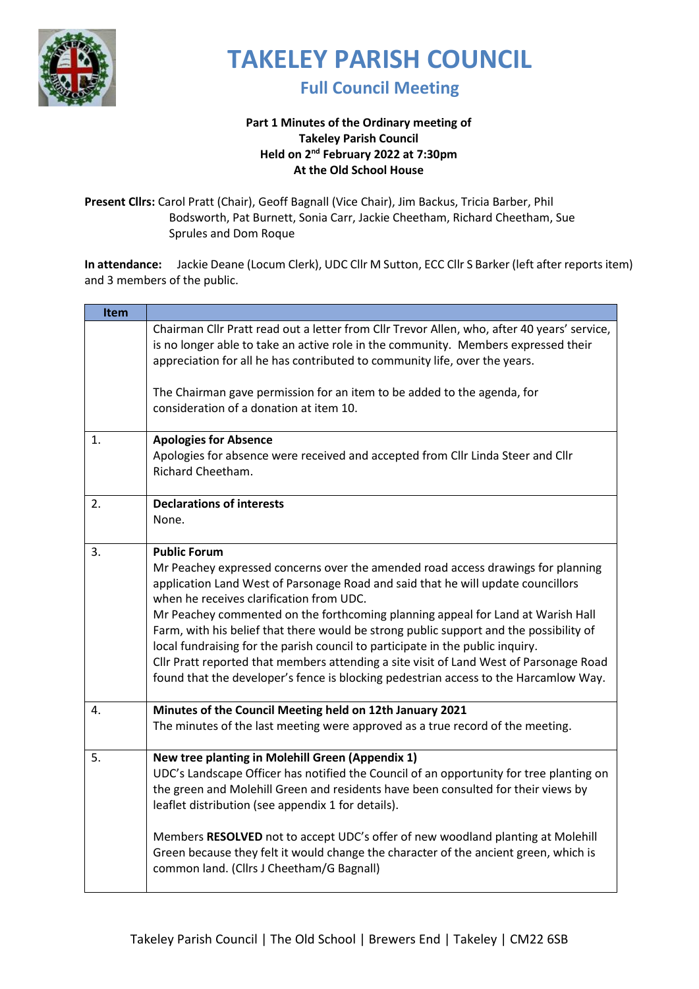

#### **Full Council Meeting**

#### **Part 1 Minutes of the Ordinary meeting of Takeley Parish Council Held on 2 nd February 2022 at 7:30pm At the Old School House**

**Present Cllrs:** Carol Pratt (Chair), Geoff Bagnall (Vice Chair), Jim Backus, Tricia Barber, Phil Bodsworth, Pat Burnett, Sonia Carr, Jackie Cheetham, Richard Cheetham, Sue Sprules and Dom Roque

**In attendance:** Jackie Deane (Locum Clerk), UDC Cllr M Sutton, ECC Cllr S Barker (left after reports item) and 3 members of the public.

| Item |                                                                                                                                                                                                                                                                                                                                                                                                                                                                                                                                                                                                                                                                                          |
|------|------------------------------------------------------------------------------------------------------------------------------------------------------------------------------------------------------------------------------------------------------------------------------------------------------------------------------------------------------------------------------------------------------------------------------------------------------------------------------------------------------------------------------------------------------------------------------------------------------------------------------------------------------------------------------------------|
|      | Chairman Cllr Pratt read out a letter from Cllr Trevor Allen, who, after 40 years' service,<br>is no longer able to take an active role in the community. Members expressed their<br>appreciation for all he has contributed to community life, over the years.                                                                                                                                                                                                                                                                                                                                                                                                                          |
|      | The Chairman gave permission for an item to be added to the agenda, for<br>consideration of a donation at item 10.                                                                                                                                                                                                                                                                                                                                                                                                                                                                                                                                                                       |
| 1.   | <b>Apologies for Absence</b><br>Apologies for absence were received and accepted from Cllr Linda Steer and Cllr<br>Richard Cheetham.                                                                                                                                                                                                                                                                                                                                                                                                                                                                                                                                                     |
| 2.   | <b>Declarations of interests</b><br>None.                                                                                                                                                                                                                                                                                                                                                                                                                                                                                                                                                                                                                                                |
| 3.   | <b>Public Forum</b><br>Mr Peachey expressed concerns over the amended road access drawings for planning<br>application Land West of Parsonage Road and said that he will update councillors<br>when he receives clarification from UDC.<br>Mr Peachey commented on the forthcoming planning appeal for Land at Warish Hall<br>Farm, with his belief that there would be strong public support and the possibility of<br>local fundraising for the parish council to participate in the public inquiry.<br>Cllr Pratt reported that members attending a site visit of Land West of Parsonage Road<br>found that the developer's fence is blocking pedestrian access to the Harcamlow Way. |
| 4.   | Minutes of the Council Meeting held on 12th January 2021<br>The minutes of the last meeting were approved as a true record of the meeting.                                                                                                                                                                                                                                                                                                                                                                                                                                                                                                                                               |
| 5.   | New tree planting in Molehill Green (Appendix 1)<br>UDC's Landscape Officer has notified the Council of an opportunity for tree planting on<br>the green and Molehill Green and residents have been consulted for their views by<br>leaflet distribution (see appendix 1 for details).<br>Members RESOLVED not to accept UDC's offer of new woodland planting at Molehill<br>Green because they felt it would change the character of the ancient green, which is<br>common land. (Cllrs J Cheetham/G Bagnall)                                                                                                                                                                           |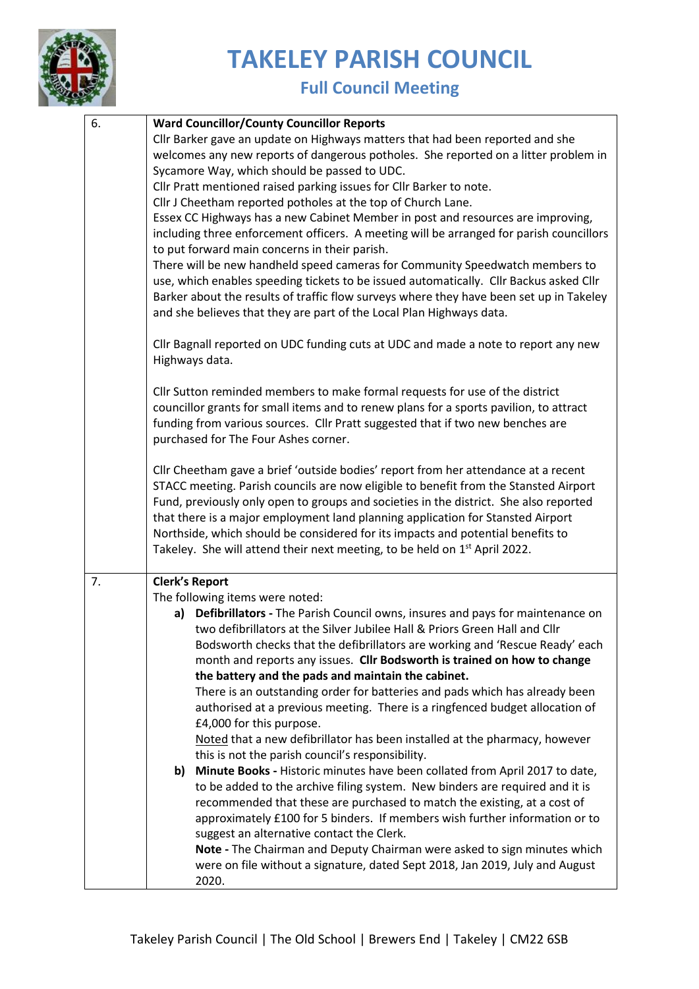

| 6. | <b>Ward Councillor/County Councillor Reports</b>                                        |  |  |
|----|-----------------------------------------------------------------------------------------|--|--|
|    | Cllr Barker gave an update on Highways matters that had been reported and she           |  |  |
|    | welcomes any new reports of dangerous potholes. She reported on a litter problem in     |  |  |
|    | Sycamore Way, which should be passed to UDC.                                            |  |  |
|    | Cllr Pratt mentioned raised parking issues for Cllr Barker to note.                     |  |  |
|    | Cllr J Cheetham reported potholes at the top of Church Lane.                            |  |  |
|    | Essex CC Highways has a new Cabinet Member in post and resources are improving,         |  |  |
|    | including three enforcement officers. A meeting will be arranged for parish councillors |  |  |
|    | to put forward main concerns in their parish.                                           |  |  |
|    | There will be new handheld speed cameras for Community Speedwatch members to            |  |  |
|    | use, which enables speeding tickets to be issued automatically. Cllr Backus asked Cllr  |  |  |
|    | Barker about the results of traffic flow surveys where they have been set up in Takeley |  |  |
|    | and she believes that they are part of the Local Plan Highways data.                    |  |  |
|    |                                                                                         |  |  |
|    | Cllr Bagnall reported on UDC funding cuts at UDC and made a note to report any new      |  |  |
|    | Highways data.                                                                          |  |  |
|    |                                                                                         |  |  |
|    | Cllr Sutton reminded members to make formal requests for use of the district            |  |  |
|    | councillor grants for small items and to renew plans for a sports pavilion, to attract  |  |  |
|    | funding from various sources. Cllr Pratt suggested that if two new benches are          |  |  |
|    | purchased for The Four Ashes corner.                                                    |  |  |
|    | Cllr Cheetham gave a brief 'outside bodies' report from her attendance at a recent      |  |  |
|    | STACC meeting. Parish councils are now eligible to benefit from the Stansted Airport    |  |  |
|    | Fund, previously only open to groups and societies in the district. She also reported   |  |  |
|    | that there is a major employment land planning application for Stansted Airport         |  |  |
|    | Northside, which should be considered for its impacts and potential benefits to         |  |  |
|    | Takeley. She will attend their next meeting, to be held on 1 <sup>st</sup> April 2022.  |  |  |
|    |                                                                                         |  |  |
| 7. | <b>Clerk's Report</b>                                                                   |  |  |
|    | The following items were noted:                                                         |  |  |
|    | a) Defibrillators - The Parish Council owns, insures and pays for maintenance on        |  |  |
|    | two defibrillators at the Silver Jubilee Hall & Priors Green Hall and Cllr              |  |  |
|    | Bodsworth checks that the defibrillators are working and 'Rescue Ready' each            |  |  |
|    | month and reports any issues. Cllr Bodsworth is trained on how to change                |  |  |
|    | the battery and the pads and maintain the cabinet.                                      |  |  |
|    | There is an outstanding order for batteries and pads which has already been             |  |  |
|    | authorised at a previous meeting. There is a ringfenced budget allocation of            |  |  |
|    | £4,000 for this purpose.                                                                |  |  |
|    | Noted that a new defibrillator has been installed at the pharmacy, however              |  |  |
|    | this is not the parish council's responsibility.                                        |  |  |
|    | Minute Books - Historic minutes have been collated from April 2017 to date,<br>b)       |  |  |
|    | to be added to the archive filing system. New binders are required and it is            |  |  |
|    | recommended that these are purchased to match the existing, at a cost of                |  |  |
|    | approximately £100 for 5 binders. If members wish further information or to             |  |  |
|    | suggest an alternative contact the Clerk.                                               |  |  |
|    | Note - The Chairman and Deputy Chairman were asked to sign minutes which                |  |  |
|    | were on file without a signature, dated Sept 2018, Jan 2019, July and August            |  |  |
|    | 2020.                                                                                   |  |  |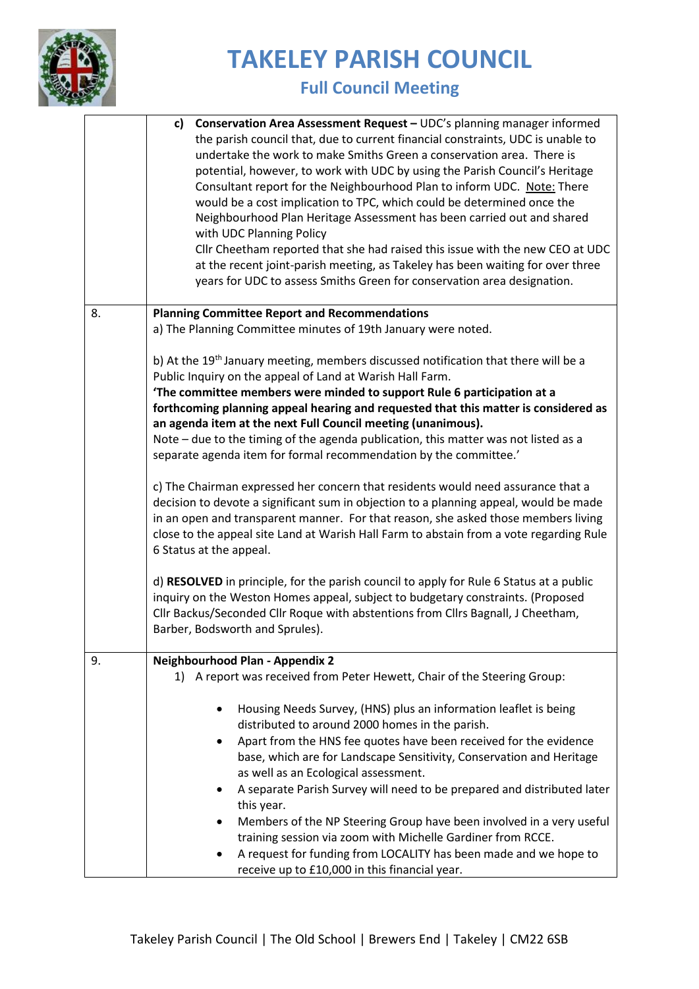

|    | Conservation Area Assessment Request - UDC's planning manager informed<br>c)<br>the parish council that, due to current financial constraints, UDC is unable to<br>undertake the work to make Smiths Green a conservation area. There is<br>potential, however, to work with UDC by using the Parish Council's Heritage<br>Consultant report for the Neighbourhood Plan to inform UDC. Note: There<br>would be a cost implication to TPC, which could be determined once the<br>Neighbourhood Plan Heritage Assessment has been carried out and shared<br>with UDC Planning Policy<br>Cllr Cheetham reported that she had raised this issue with the new CEO at UDC<br>at the recent joint-parish meeting, as Takeley has been waiting for over three<br>years for UDC to assess Smiths Green for conservation area designation.                                                                                                                                                                                                                                                                                                                                                                                                                         |  |  |
|----|----------------------------------------------------------------------------------------------------------------------------------------------------------------------------------------------------------------------------------------------------------------------------------------------------------------------------------------------------------------------------------------------------------------------------------------------------------------------------------------------------------------------------------------------------------------------------------------------------------------------------------------------------------------------------------------------------------------------------------------------------------------------------------------------------------------------------------------------------------------------------------------------------------------------------------------------------------------------------------------------------------------------------------------------------------------------------------------------------------------------------------------------------------------------------------------------------------------------------------------------------------|--|--|
| 8. | <b>Planning Committee Report and Recommendations</b><br>a) The Planning Committee minutes of 19th January were noted.                                                                                                                                                                                                                                                                                                                                                                                                                                                                                                                                                                                                                                                                                                                                                                                                                                                                                                                                                                                                                                                                                                                                    |  |  |
|    | b) At the 19 <sup>th</sup> January meeting, members discussed notification that there will be a<br>Public Inquiry on the appeal of Land at Warish Hall Farm.<br>'The committee members were minded to support Rule 6 participation at a<br>forthcoming planning appeal hearing and requested that this matter is considered as<br>an agenda item at the next Full Council meeting (unanimous).<br>Note – due to the timing of the agenda publication, this matter was not listed as a<br>separate agenda item for formal recommendation by the committee.'<br>c) The Chairman expressed her concern that residents would need assurance that a<br>decision to devote a significant sum in objection to a planning appeal, would be made<br>in an open and transparent manner. For that reason, she asked those members living<br>close to the appeal site Land at Warish Hall Farm to abstain from a vote regarding Rule<br>6 Status at the appeal.<br>d) RESOLVED in principle, for the parish council to apply for Rule 6 Status at a public<br>inquiry on the Weston Homes appeal, subject to budgetary constraints. (Proposed<br>Cllr Backus/Seconded Cllr Roque with abstentions from Cllrs Bagnall, J Cheetham,<br>Barber, Bodsworth and Sprules). |  |  |
| 9. | Neighbourhood Plan - Appendix 2<br>1) A report was received from Peter Hewett, Chair of the Steering Group:                                                                                                                                                                                                                                                                                                                                                                                                                                                                                                                                                                                                                                                                                                                                                                                                                                                                                                                                                                                                                                                                                                                                              |  |  |
|    | Housing Needs Survey, (HNS) plus an information leaflet is being<br>distributed to around 2000 homes in the parish.<br>Apart from the HNS fee quotes have been received for the evidence<br>base, which are for Landscape Sensitivity, Conservation and Heritage<br>as well as an Ecological assessment.<br>A separate Parish Survey will need to be prepared and distributed later<br>this year.<br>Members of the NP Steering Group have been involved in a very useful<br>training session via zoom with Michelle Gardiner from RCCE.<br>A request for funding from LOCALITY has been made and we hope to<br>receive up to £10,000 in this financial year.                                                                                                                                                                                                                                                                                                                                                                                                                                                                                                                                                                                            |  |  |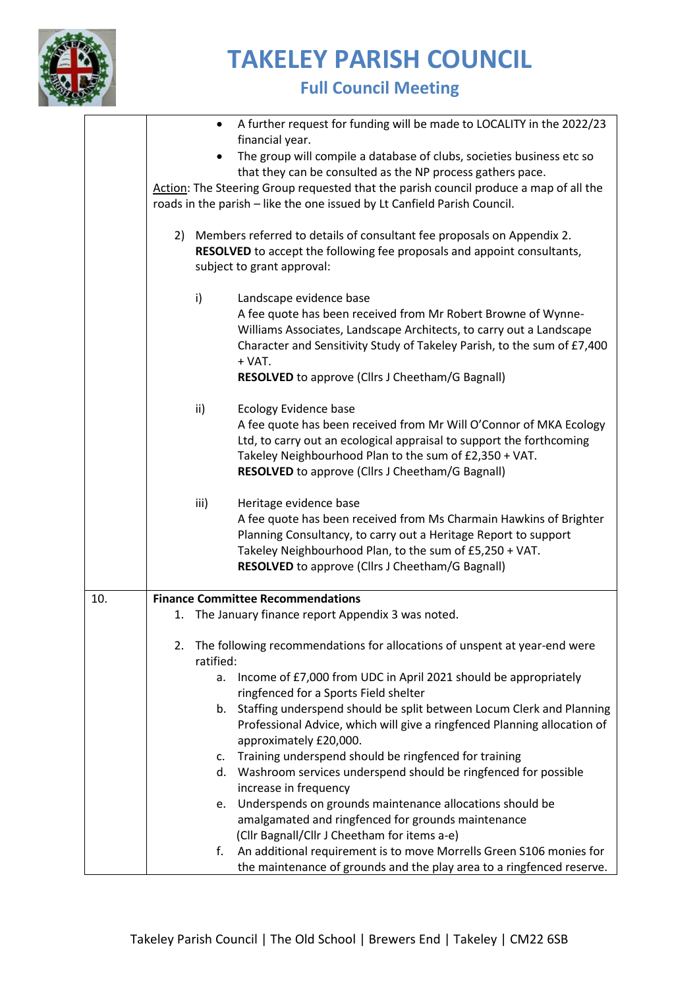

|     |              | A further request for funding will be made to LOCALITY in the 2022/23<br>$\bullet$                                                                                                 |
|-----|--------------|------------------------------------------------------------------------------------------------------------------------------------------------------------------------------------|
|     |              | financial year.                                                                                                                                                                    |
|     |              | The group will compile a database of clubs, societies business etc so                                                                                                              |
|     |              | that they can be consulted as the NP process gathers pace.                                                                                                                         |
|     |              | Action: The Steering Group requested that the parish council produce a map of all the                                                                                              |
|     |              | roads in the parish - like the one issued by Lt Canfield Parish Council.                                                                                                           |
|     |              | 2) Members referred to details of consultant fee proposals on Appendix 2.<br>RESOLVED to accept the following fee proposals and appoint consultants,<br>subject to grant approval: |
|     | $\mathsf{i}$ | Landscape evidence base                                                                                                                                                            |
|     |              | A fee quote has been received from Mr Robert Browne of Wynne-                                                                                                                      |
|     |              | Williams Associates, Landscape Architects, to carry out a Landscape                                                                                                                |
|     |              | Character and Sensitivity Study of Takeley Parish, to the sum of £7,400                                                                                                            |
|     |              | $+$ VAT.                                                                                                                                                                           |
|     |              | RESOLVED to approve (Cllrs J Cheetham/G Bagnall)                                                                                                                                   |
|     | ii)          | <b>Ecology Evidence base</b>                                                                                                                                                       |
|     |              | A fee quote has been received from Mr Will O'Connor of MKA Ecology                                                                                                                 |
|     |              | Ltd, to carry out an ecological appraisal to support the forthcoming                                                                                                               |
|     |              | Takeley Neighbourhood Plan to the sum of £2,350 + VAT.                                                                                                                             |
|     |              | RESOLVED to approve (Cllrs J Cheetham/G Bagnall)                                                                                                                                   |
|     | iii)         | Heritage evidence base                                                                                                                                                             |
|     |              | A fee quote has been received from Ms Charmain Hawkins of Brighter                                                                                                                 |
|     |              | Planning Consultancy, to carry out a Heritage Report to support                                                                                                                    |
|     |              | Takeley Neighbourhood Plan, to the sum of £5,250 + VAT.                                                                                                                            |
|     |              | RESOLVED to approve (Cllrs J Cheetham/G Bagnall)                                                                                                                                   |
| 10. |              | <b>Finance Committee Recommendations</b>                                                                                                                                           |
|     | 1.           | The January finance report Appendix 3 was noted.                                                                                                                                   |
|     |              |                                                                                                                                                                                    |
|     | 2.           | The following recommendations for allocations of unspent at year-end were                                                                                                          |
|     |              | ratified:                                                                                                                                                                          |
|     |              | Income of £7,000 from UDC in April 2021 should be appropriately<br>a.                                                                                                              |
|     |              | ringfenced for a Sports Field shelter                                                                                                                                              |
|     |              | Staffing underspend should be split between Locum Clerk and Planning<br>b.                                                                                                         |
|     |              | Professional Advice, which will give a ringfenced Planning allocation of                                                                                                           |
|     |              | approximately £20,000.                                                                                                                                                             |
|     |              | Training underspend should be ringfenced for training<br>c.                                                                                                                        |
|     |              | d. Washroom services underspend should be ringfenced for possible                                                                                                                  |
|     |              | increase in frequency                                                                                                                                                              |
|     |              | Underspends on grounds maintenance allocations should be<br>e.                                                                                                                     |
|     |              | amalgamated and ringfenced for grounds maintenance                                                                                                                                 |
|     |              | (Cllr Bagnall/Cllr J Cheetham for items a-e)                                                                                                                                       |
|     |              | An additional requirement is to move Morrells Green S106 monies for<br>f.                                                                                                          |
|     |              | the maintenance of grounds and the play area to a ringfenced reserve.                                                                                                              |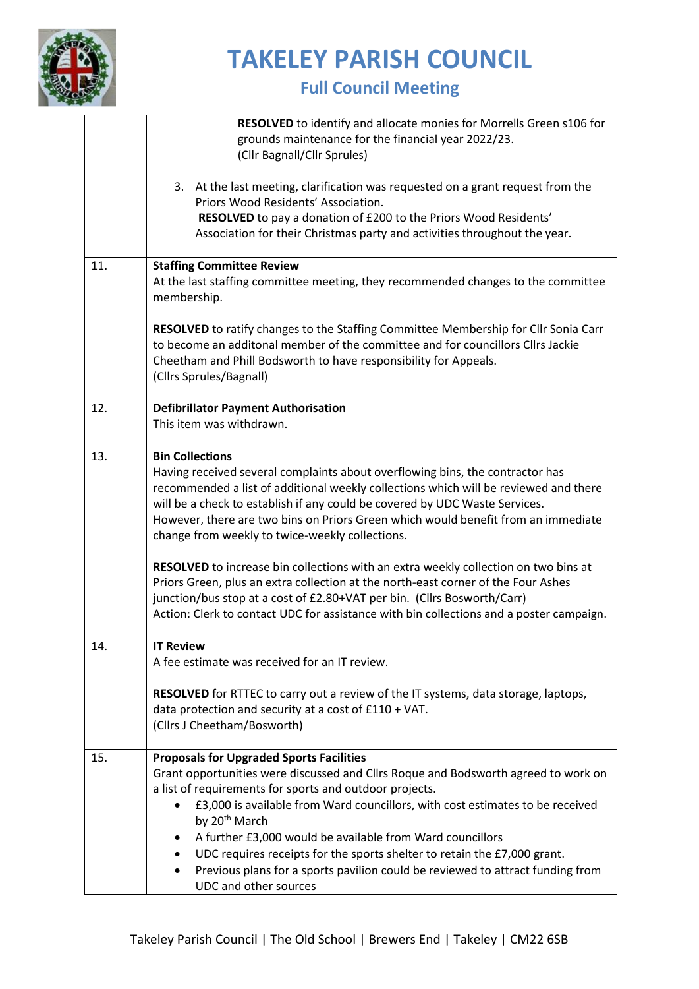

|     | <b>RESOLVED</b> to identify and allocate monies for Morrells Green s106 for                                                           |
|-----|---------------------------------------------------------------------------------------------------------------------------------------|
|     | grounds maintenance for the financial year 2022/23.                                                                                   |
|     | (Cllr Bagnall/Cllr Sprules)                                                                                                           |
|     |                                                                                                                                       |
|     | 3. At the last meeting, clarification was requested on a grant request from the                                                       |
|     | Priors Wood Residents' Association.                                                                                                   |
|     | RESOLVED to pay a donation of £200 to the Priors Wood Residents'                                                                      |
|     | Association for their Christmas party and activities throughout the year.                                                             |
|     |                                                                                                                                       |
| 11. | <b>Staffing Committee Review</b>                                                                                                      |
|     | At the last staffing committee meeting, they recommended changes to the committee                                                     |
|     | membership.                                                                                                                           |
|     |                                                                                                                                       |
|     | RESOLVED to ratify changes to the Staffing Committee Membership for Cllr Sonia Carr                                                   |
|     | to become an additonal member of the committee and for councillors Cllrs Jackie                                                       |
|     | Cheetham and Phill Bodsworth to have responsibility for Appeals.                                                                      |
|     | (Cllrs Sprules/Bagnall)                                                                                                               |
|     |                                                                                                                                       |
| 12. | <b>Defibrillator Payment Authorisation</b>                                                                                            |
|     | This item was withdrawn.                                                                                                              |
|     |                                                                                                                                       |
| 13. | <b>Bin Collections</b>                                                                                                                |
|     | Having received several complaints about overflowing bins, the contractor has                                                         |
|     | recommended a list of additional weekly collections which will be reviewed and there                                                  |
|     | will be a check to establish if any could be covered by UDC Waste Services.                                                           |
|     | However, there are two bins on Priors Green which would benefit from an immediate                                                     |
|     | change from weekly to twice-weekly collections.                                                                                       |
|     |                                                                                                                                       |
|     | RESOLVED to increase bin collections with an extra weekly collection on two bins at                                                   |
|     | Priors Green, plus an extra collection at the north-east corner of the Four Ashes                                                     |
|     | junction/bus stop at a cost of £2.80+VAT per bin. (Cllrs Bosworth/Carr)                                                               |
|     | Action: Clerk to contact UDC for assistance with bin collections and a poster campaign.                                               |
|     |                                                                                                                                       |
| 14. | <b>IT Review</b>                                                                                                                      |
|     | A fee estimate was received for an IT review.                                                                                         |
|     |                                                                                                                                       |
|     | RESOLVED for RTTEC to carry out a review of the IT systems, data storage, laptops,                                                    |
|     | data protection and security at a cost of £110 + VAT.                                                                                 |
|     | (Cllrs J Cheetham/Bosworth)                                                                                                           |
| 15. |                                                                                                                                       |
|     | <b>Proposals for Upgraded Sports Facilities</b><br>Grant opportunities were discussed and Cllrs Roque and Bodsworth agreed to work on |
|     | a list of requirements for sports and outdoor projects.                                                                               |
|     | £3,000 is available from Ward councillors, with cost estimates to be received                                                         |
|     | by 20 <sup>th</sup> March                                                                                                             |
|     |                                                                                                                                       |
|     | A further £3,000 would be available from Ward councillors<br>٠                                                                        |
|     | UDC requires receipts for the sports shelter to retain the £7,000 grant.<br>$\bullet$                                                 |
|     | Previous plans for a sports pavilion could be reviewed to attract funding from<br>$\bullet$                                           |
|     | UDC and other sources                                                                                                                 |